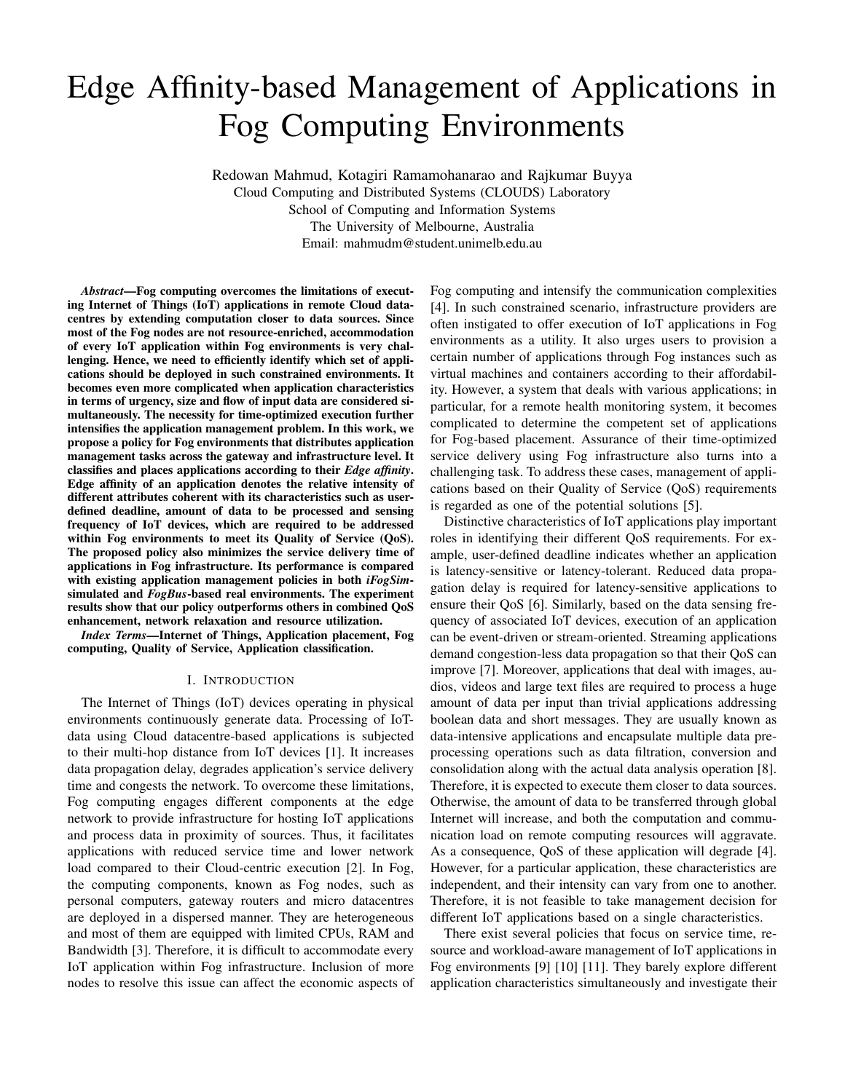# Edge Affinity-based Management of Applications in Fog Computing Environments

Redowan Mahmud, Kotagiri Ramamohanarao and Rajkumar Buyya Cloud Computing and Distributed Systems (CLOUDS) Laboratory School of Computing and Information Systems The University of Melbourne, Australia Email: mahmudm@student.unimelb.edu.au

*Abstract*—Fog computing overcomes the limitations of executing Internet of Things (IoT) applications in remote Cloud datacentres by extending computation closer to data sources. Since most of the Fog nodes are not resource-enriched, accommodation of every IoT application within Fog environments is very challenging. Hence, we need to efficiently identify which set of applications should be deployed in such constrained environments. It becomes even more complicated when application characteristics in terms of urgency, size and flow of input data are considered simultaneously. The necessity for time-optimized execution further intensifies the application management problem. In this work, we propose a policy for Fog environments that distributes application management tasks across the gateway and infrastructure level. It classifies and places applications according to their *Edge affinity*. Edge affinity of an application denotes the relative intensity of different attributes coherent with its characteristics such as userdefined deadline, amount of data to be processed and sensing frequency of IoT devices, which are required to be addressed within Fog environments to meet its Quality of Service (QoS). The proposed policy also minimizes the service delivery time of applications in Fog infrastructure. Its performance is compared with existing application management policies in both *iFogSim*simulated and *FogBus*-based real environments. The experiment results show that our policy outperforms others in combined QoS enhancement, network relaxation and resource utilization.

*Index Terms*—Internet of Things, Application placement, Fog computing, Quality of Service, Application classification.

## I. INTRODUCTION

The Internet of Things (IoT) devices operating in physical environments continuously generate data. Processing of IoTdata using Cloud datacentre-based applications is subjected to their multi-hop distance from IoT devices [1]. It increases data propagation delay, degrades application's service delivery time and congests the network. To overcome these limitations, Fog computing engages different components at the edge network to provide infrastructure for hosting IoT applications and process data in proximity of sources. Thus, it facilitates applications with reduced service time and lower network load compared to their Cloud-centric execution [2]. In Fog, the computing components, known as Fog nodes, such as personal computers, gateway routers and micro datacentres are deployed in a dispersed manner. They are heterogeneous and most of them are equipped with limited CPUs, RAM and Bandwidth [3]. Therefore, it is difficult to accommodate every IoT application within Fog infrastructure. Inclusion of more nodes to resolve this issue can affect the economic aspects of Fog computing and intensify the communication complexities [4]. In such constrained scenario, infrastructure providers are often instigated to offer execution of IoT applications in Fog environments as a utility. It also urges users to provision a certain number of applications through Fog instances such as virtual machines and containers according to their affordability. However, a system that deals with various applications; in particular, for a remote health monitoring system, it becomes complicated to determine the competent set of applications for Fog-based placement. Assurance of their time-optimized service delivery using Fog infrastructure also turns into a challenging task. To address these cases, management of applications based on their Quality of Service (QoS) requirements is regarded as one of the potential solutions [5].

Distinctive characteristics of IoT applications play important roles in identifying their different QoS requirements. For example, user-defined deadline indicates whether an application is latency-sensitive or latency-tolerant. Reduced data propagation delay is required for latency-sensitive applications to ensure their QoS [6]. Similarly, based on the data sensing frequency of associated IoT devices, execution of an application can be event-driven or stream-oriented. Streaming applications demand congestion-less data propagation so that their QoS can improve [7]. Moreover, applications that deal with images, audios, videos and large text files are required to process a huge amount of data per input than trivial applications addressing boolean data and short messages. They are usually known as data-intensive applications and encapsulate multiple data preprocessing operations such as data filtration, conversion and consolidation along with the actual data analysis operation [8]. Therefore, it is expected to execute them closer to data sources. Otherwise, the amount of data to be transferred through global Internet will increase, and both the computation and communication load on remote computing resources will aggravate. As a consequence, QoS of these application will degrade [4]. However, for a particular application, these characteristics are independent, and their intensity can vary from one to another. Therefore, it is not feasible to take management decision for different IoT applications based on a single characteristics.

There exist several policies that focus on service time, resource and workload-aware management of IoT applications in Fog environments [9] [10] [11]. They barely explore different application characteristics simultaneously and investigate their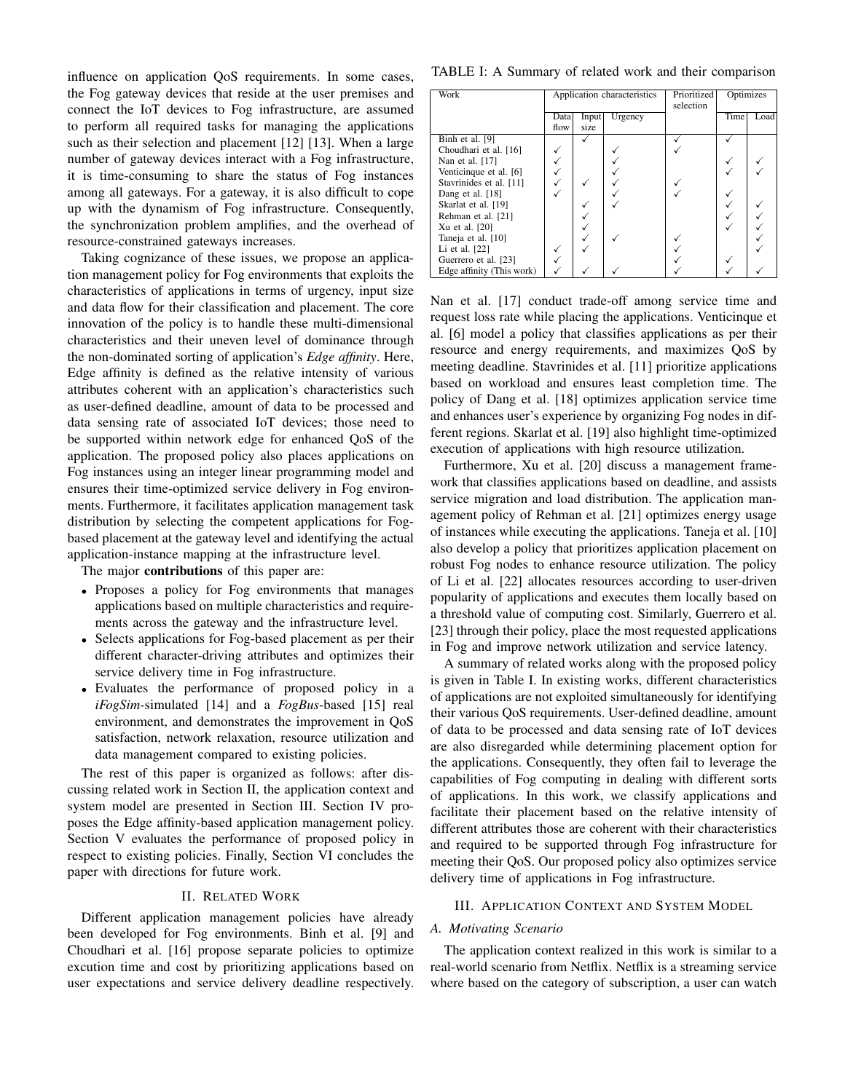influence on application QoS requirements. In some cases, the Fog gateway devices that reside at the user premises and connect the IoT devices to Fog infrastructure, are assumed to perform all required tasks for managing the applications such as their selection and placement [12] [13]. When a large number of gateway devices interact with a Fog infrastructure, it is time-consuming to share the status of Fog instances among all gateways. For a gateway, it is also difficult to cope up with the dynamism of Fog infrastructure. Consequently, the synchronization problem amplifies, and the overhead of resource-constrained gateways increases.

Taking cognizance of these issues, we propose an application management policy for Fog environments that exploits the characteristics of applications in terms of urgency, input size and data flow for their classification and placement. The core innovation of the policy is to handle these multi-dimensional characteristics and their uneven level of dominance through the non-dominated sorting of application's *Edge affinity*. Here, Edge affinity is defined as the relative intensity of various attributes coherent with an application's characteristics such as user-defined deadline, amount of data to be processed and data sensing rate of associated IoT devices; those need to be supported within network edge for enhanced QoS of the application. The proposed policy also places applications on Fog instances using an integer linear programming model and ensures their time-optimized service delivery in Fog environments. Furthermore, it facilitates application management task distribution by selecting the competent applications for Fogbased placement at the gateway level and identifying the actual application-instance mapping at the infrastructure level.

The major **contributions** of this paper are:

- Proposes a policy for Fog environments that manages applications based on multiple characteristics and requirements across the gateway and the infrastructure level.
- Selects applications for Fog-based placement as per their different character-driving attributes and optimizes their service delivery time in Fog infrastructure.
- Evaluates the performance of proposed policy in a *iFogSim*-simulated [14] and a *FogBus*-based [15] real environment, and demonstrates the improvement in QoS satisfaction, network relaxation, resource utilization and data management compared to existing policies.

The rest of this paper is organized as follows: after discussing related work in Section II, the application context and system model are presented in Section III. Section IV proposes the Edge affinity-based application management policy. Section V evaluates the performance of proposed policy in respect to existing policies. Finally, Section VI concludes the paper with directions for future work.

# II. RELATED WORK

Different application management policies have already been developed for Fog environments. Binh et al. [9] and Choudhari et al. [16] propose separate policies to optimize excution time and cost by prioritizing applications based on user expectations and service delivery deadline respectively.

TABLE I: A Summary of related work and their comparison

| Work                      | Application characteristics |               |         | Prioritized<br>selection | Optimizes |      |
|---------------------------|-----------------------------|---------------|---------|--------------------------|-----------|------|
|                           | Data<br>flow                | Input<br>size | Urgency |                          | Time      | Load |
| Binh et al. [9]           |                             |               |         |                          |           |      |
| Choudhari et al. [16]     |                             |               |         |                          |           |      |
| Nan et al. [17]           |                             |               |         |                          |           |      |
| Venticinque et al. [6]    |                             |               |         |                          |           |      |
| Stavrinides et al. [11]   |                             |               |         |                          |           |      |
| Dang et al. [18]          |                             |               |         |                          |           |      |
| Skarlat et al. [19]       |                             |               |         |                          |           |      |
| Rehman et al. [21]        |                             |               |         |                          |           |      |
| Xu et al. [20]            |                             |               |         |                          |           |      |
| Taneja et al. [10]        |                             |               |         |                          |           |      |
| Li et al. [22]            |                             |               |         |                          |           |      |
| Guerrero et al. [23]      |                             |               |         |                          |           |      |
| Edge affinity (This work) |                             |               |         |                          |           |      |

Nan et al. [17] conduct trade-off among service time and request loss rate while placing the applications. Venticinque et al. [6] model a policy that classifies applications as per their resource and energy requirements, and maximizes QoS by meeting deadline. Stavrinides et al. [11] prioritize applications based on workload and ensures least completion time. The policy of Dang et al. [18] optimizes application service time and enhances user's experience by organizing Fog nodes in different regions. Skarlat et al. [19] also highlight time-optimized execution of applications with high resource utilization.

Furthermore, Xu et al. [20] discuss a management framework that classifies applications based on deadline, and assists service migration and load distribution. The application management policy of Rehman et al. [21] optimizes energy usage of instances while executing the applications. Taneja et al. [10] also develop a policy that prioritizes application placement on robust Fog nodes to enhance resource utilization. The policy of Li et al. [22] allocates resources according to user-driven popularity of applications and executes them locally based on a threshold value of computing cost. Similarly, Guerrero et al. [23] through their policy, place the most requested applications in Fog and improve network utilization and service latency.

A summary of related works along with the proposed policy is given in Table I. In existing works, different characteristics of applications are not exploited simultaneously for identifying their various QoS requirements. User-defined deadline, amount of data to be processed and data sensing rate of IoT devices are also disregarded while determining placement option for the applications. Consequently, they often fail to leverage the capabilities of Fog computing in dealing with different sorts of applications. In this work, we classify applications and facilitate their placement based on the relative intensity of different attributes those are coherent with their characteristics and required to be supported through Fog infrastructure for meeting their QoS. Our proposed policy also optimizes service delivery time of applications in Fog infrastructure.

# III. APPLICATION CONTEXT AND SYSTEM MODEL

#### *A. Motivating Scenario*

The application context realized in this work is similar to a real-world scenario from Netflix. Netflix is a streaming service where based on the category of subscription, a user can watch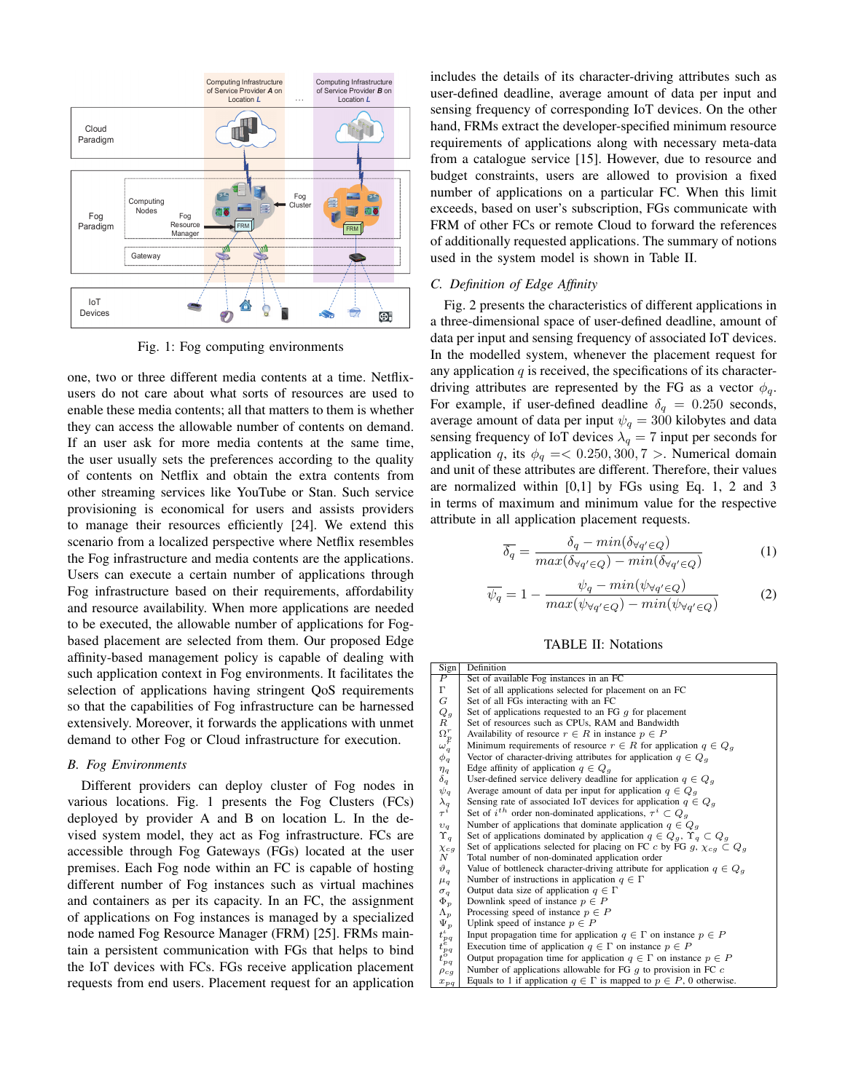

Fig. 1: Fog computing environments

one, two or three different media contents at a time. Netflixusers do not care about what sorts of resources are used to enable these media contents; all that matters to them is whether they can access the allowable number of contents on demand. If an user ask for more media contents at the same time, the user usually sets the preferences according to the quality of contents on Netflix and obtain the extra contents from other streaming services like YouTube or Stan. Such service provisioning is economical for users and assists providers to manage their resources efficiently [24]. We extend this scenario from a localized perspective where Netflix resembles the Fog infrastructure and media contents are the applications. Users can execute a certain number of applications through Fog infrastructure based on their requirements, affordability and resource availability. When more applications are needed to be executed, the allowable number of applications for Fogbased placement are selected from them. Our proposed Edge affinity-based management policy is capable of dealing with such application context in Fog environments. It facilitates the selection of applications having stringent QoS requirements so that the capabilities of Fog infrastructure can be harnessed extensively. Moreover, it forwards the applications with unmet demand to other Fog or Cloud infrastructure for execution.

# *B. Fog Environments*

Different providers can deploy cluster of Fog nodes in various locations. Fig. 1 presents the Fog Clusters (FCs) deployed by provider A and B on location L. In the devised system model, they act as Fog infrastructure. FCs are accessible through Fog Gateways (FGs) located at the user premises. Each Fog node within an FC is capable of hosting different number of Fog instances such as virtual machines and containers as per its capacity. In an FC, the assignment of applications on Fog instances is managed by a specialized node named Fog Resource Manager (FRM) [25]. FRMs maintain a persistent communication with FGs that helps to bind the IoT devices with FCs. FGs receive application placement requests from end users. Placement request for an application includes the details of its character-driving attributes such as user-defined deadline, average amount of data per input and sensing frequency of corresponding IoT devices. On the other hand, FRMs extract the developer-specified minimum resource requirements of applications along with necessary meta-data from a catalogue service [15]. However, due to resource and budget constraints, users are allowed to provision a fixed number of applications on a particular FC. When this limit exceeds, based on user's subscription, FGs communicate with FRM of other FCs or remote Cloud to forward the references of additionally requested applications. The summary of notions used in the system model is shown in Table II.

# *C. Definition of Edge Affinity*

Fig. 2 presents the characteristics of different applications in a three-dimensional space of user-defined deadline, amount of data per input and sensing frequency of associated IoT devices. In the modelled system, whenever the placement request for any application  $q$  is received, the specifications of its characterdriving attributes are represented by the FG as a vector  $\phi_q$ . For example, if user-defined deadline  $\delta_q = 0.250$  seconds, average amount of data per input  $\psi_q = 300$  kilobytes and data sensing frequency of IoT devices  $\lambda_q = 7$  input per seconds for application q, its  $\phi_q = 0.250, 300, 7 >$ . Numerical domain and unit of these attributes are different. Therefore, their values are normalized within [0,1] by FGs using Eq. 1, 2 and 3 in terms of maximum and minimum value for the respective attribute in all application placement requests.

$$
\overline{\delta_q} = \frac{\delta_q - \min(\delta_{\forall q' \in Q})}{\max(\delta_{\forall q' \in Q}) - \min(\delta_{\forall q' \in Q})}
$$
(1)

$$
\overline{\psi_q} = 1 - \frac{\psi_q - \min(\psi_{\forall q' \in Q})}{\max(\psi_{\forall q' \in Q}) - \min(\psi_{\forall q' \in Q})} \tag{2}
$$

|  |  | <b>TABLE II: Notations</b> |
|--|--|----------------------------|
|--|--|----------------------------|

| Sign                                                                     | Definition                                                                          |
|--------------------------------------------------------------------------|-------------------------------------------------------------------------------------|
| $\overline{P}$                                                           | Set of available Fog instances in an FC                                             |
| $\Gamma$                                                                 | Set of all applications selected for placement on an FC                             |
|                                                                          | Set of all FGs interacting with an FC                                               |
|                                                                          | Set of applications requested to an FG $q$ for placement                            |
|                                                                          | Set of resources such as CPUs, RAM and Bandwidth                                    |
|                                                                          | Availability of resource $r \in R$ in instance $p \in P$                            |
| $\begin{array}{c} G \\ Q_g \\ R \\ \Omega_F^r \\ \omega_q^p \end{array}$ | Minimum requirements of resource $r \in R$ for application $q \in Q_q$              |
| $\phi_q$                                                                 | Vector of character-driving attributes for application $q \in Q_q$                  |
| $\eta_q$                                                                 | Edge affinity of application $q \in Q_q$                                            |
| $\delta_q$                                                               | User-defined service delivery deadline for application $q \in Q_q$                  |
|                                                                          | Average amount of data per input for application $q \in Q_q$                        |
|                                                                          | Sensing rate of associated IoT devices for application $q \in Q_q$                  |
| $\psi_q$<br>$\lambda_q$<br>$\tau^i$                                      | Set of $i^{th}$ order non-dominated applications, $\tau^i \subset Q_a$              |
| $\overset{\cdot }{v}_{q}$                                                | Number of applications that dominate application $q \in Q_q$                        |
|                                                                          | Set of applications dominated by application $q \in Q_q$ , $\Upsilon_q \subset Q_q$ |
| $\chi_{cg}$                                                              | Set of applications selected for placing on FC c by FG g, $\chi_{cg} \subset Q_g$   |
| $\boldsymbol{N}$                                                         | Total number of non-dominated application order                                     |
| $\vartheta_q$                                                            | Value of bottleneck character-driving attribute for application $q \in Q_q$         |
| $\mu_q$                                                                  | Number of instructions in application $q \in \Gamma$                                |
| $\sigma_q$                                                               | Output data size of application $q \in \Gamma$                                      |
| $\Phi_p$                                                                 | Downlink speed of instance $p \in P$                                                |
| $\Lambda_p$                                                              | Processing speed of instance $p \in P$                                              |
|                                                                          | Uplink speed of instance $p \in P$                                                  |
|                                                                          | Input propagation time for application $q \in \Gamma$ on instance $p \in P$         |
|                                                                          | Execution time of application $q \in \Gamma$ on instance $p \in P$                  |
| $\begin{array}{c} \Psi_P^r\ t_P^t q \ t_P^q q \end{array}$               | Output propagation time for application $q \in \Gamma$ on instance $p \in P$        |
| $\rho_{cg}$                                                              | Number of applications allowable for FG $q$ to provision in FC $c$                  |
| $x_{pq}$                                                                 | Equals to 1 if application $q \in \Gamma$ is mapped to $p \in P$ , 0 otherwise.     |
|                                                                          |                                                                                     |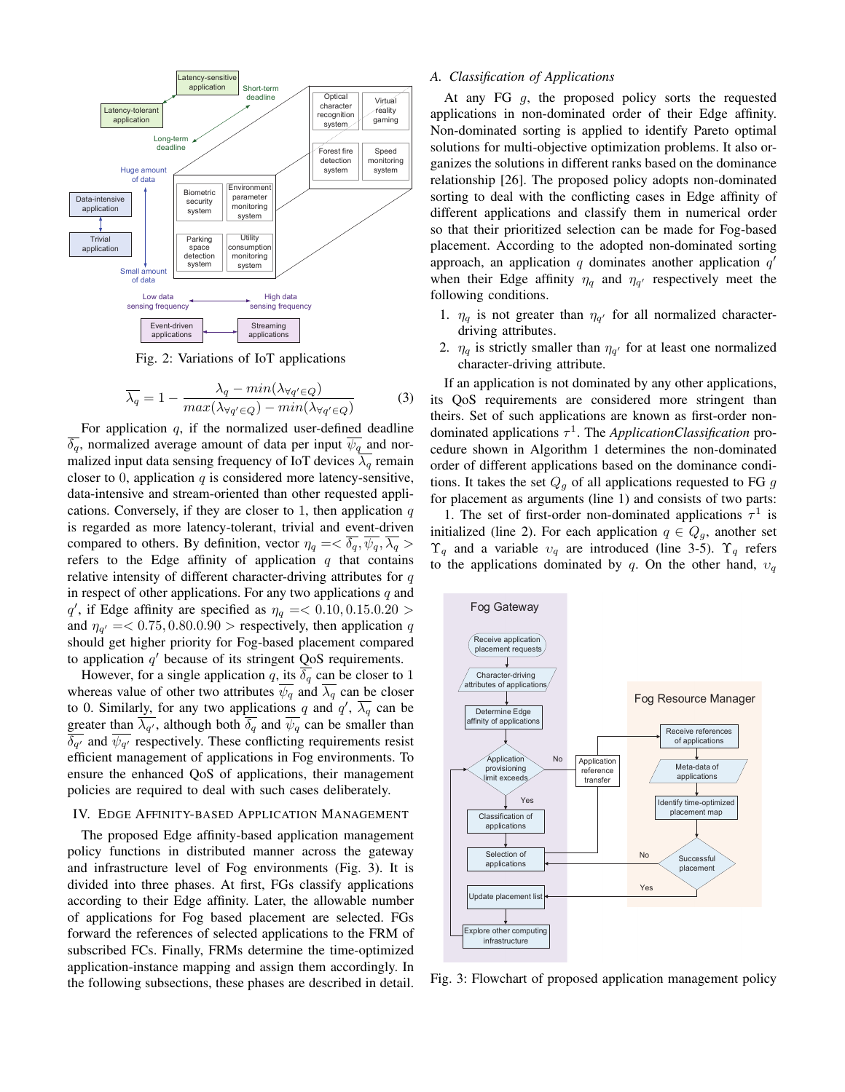

Fig. 2: Variations of IoT applications

$$
\overline{\lambda_q} = 1 - \frac{\lambda_q - \min(\lambda_{\forall q' \in Q})}{\max(\lambda_{\forall q' \in Q}) - \min(\lambda_{\forall q' \in Q})}
$$
(3)

For application  $q$ , if the normalized user-defined deadline  $\overline{\delta_q}$ , normalized average amount of data per input  $\overline{\psi_q}$  and normalized input data sensing frequency of IoT devices  $\overline{\lambda_q}$  remain closer to 0, application  $q$  is considered more latency-sensitive, data-intensive and stream-oriented than other requested applications. Conversely, if they are closer to 1, then application  $q$ is regarded as more latency-tolerant, trivial and event-driven compared to others. By definition, vector  $\eta_q = \langle \delta_q, \overline{\psi_q}, \overline{\lambda_q} \rangle$ refers to the Edge affinity of application  $q$  that contains relative intensity of different character-driving attributes for  $q$ in respect of other applications. For any two applications  $q$  and q', if Edge affinity are specified as  $\eta_q = 0.10, 0.15.0.20 >$ and  $\eta_{q'} = 0.75, 0.80, 0.90 >$  respectively, then application q should get higher priority for Fog-based placement compared to application  $q'$  because of its stringent QoS requirements.

However, for a single application q, its  $\overline{\delta_q}$  can be closer to 1 whereas value of other two attributes  $\overline{\psi_q}$  and  $\overline{\lambda_q}$  can be closer to 0. Similarly, for any two applications q and  $q'$ ,  $\overline{\lambda_q}$  can be greater than  $\lambda_{q'}$ , although both  $\delta_q$  and  $\psi_q$  can be smaller than  $\delta_{q'}$  and  $\psi_{q'}$  respectively. These conflicting requirements resist efficient management of applications in Fog environments. To ensure the enhanced QoS of applications, their management policies are required to deal with such cases deliberately.

#### IV. EDGE AFFINITY-BASED APPLICATION MANAGEMENT

The proposed Edge affinity-based application management policy functions in distributed manner across the gateway and infrastructure level of Fog environments (Fig. 3). It is divided into three phases. At first, FGs classify applications according to their Edge affinity. Later, the allowable number of applications for Fog based placement are selected. FGs forward the references of selected applications to the FRM of subscribed FCs. Finally, FRMs determine the time-optimized application-instance mapping and assign them accordingly. In the following subsections, these phases are described in detail.

## *A. Classification of Applications*

At any FG g, the proposed policy sorts the requested applications in non-dominated order of their Edge affinity. Non-dominated sorting is applied to identify Pareto optimal solutions for multi-objective optimization problems. It also organizes the solutions in different ranks based on the dominance relationship [26]. The proposed policy adopts non-dominated sorting to deal with the conflicting cases in Edge affinity of different applications and classify them in numerical order so that their prioritized selection can be made for Fog-based placement. According to the adopted non-dominated sorting approach, an application  $q$  dominates another application  $q'$ when their Edge affinity  $\eta_q$  and  $\eta_{q'}$  respectively meet the following conditions.

- 1.  $\eta_q$  is not greater than  $\eta_{q'}$  for all normalized characterdriving attributes.
- 2.  $\eta_q$  is strictly smaller than  $\eta_{q'}$  for at least one normalized character-driving attribute.

If an application is not dominated by any other applications, its QoS requirements are considered more stringent than theirs. Set of such applications are known as first-order nondominated applications τ 1 . The *ApplicationClassification* procedure shown in Algorithm 1 determines the non-dominated order of different applications based on the dominance conditions. It takes the set  $Q_q$  of all applications requested to FG g for placement as arguments (line 1) and consists of two parts:

1. The set of first-order non-dominated applications  $\tau^1$  is initialized (line 2). For each application  $q \in Q_q$ , another set  $\Upsilon_q$  and a variable  $v_q$  are introduced (line 3-5).  $\Upsilon_q$  refers to the applications dominated by q. On the other hand,  $v_q$ 



Fig. 3: Flowchart of proposed application management policy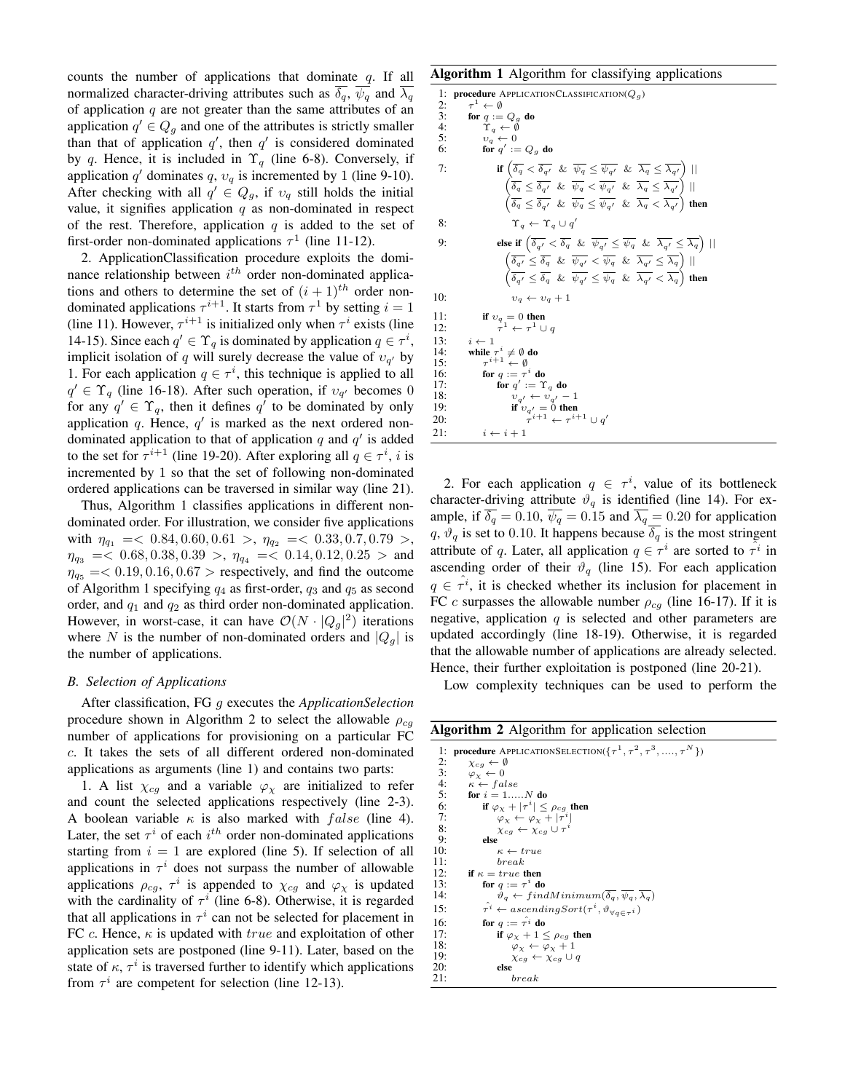counts the number of applications that dominate  $q$ . If all normalized character-driving attributes such as  $\overline{\delta_q}$ ,  $\overline{\psi_q}$  and  $\overline{\lambda_q}$ of application  $q$  are not greater than the same attributes of an application  $q' \in Q_g$  and one of the attributes is strictly smaller than that of application  $q'$ , then  $q'$  is considered dominated by q. Hence, it is included in  $\Upsilon_q$  (line 6-8). Conversely, if application q' dominates q,  $v_q$  is incremented by 1 (line 9-10). After checking with all  $q' \in Q_g$ , if  $v_q$  still holds the initial value, it signifies application  $q$  as non-dominated in respect of the rest. Therefore, application  $q$  is added to the set of first-order non-dominated applications  $\tau^1$  (line 11-12).

2. ApplicationClassification procedure exploits the dominance relationship between  $i^{th}$  order non-dominated applications and others to determine the set of  $(i + 1)$ <sup>th</sup> order nondominated applications  $\tau^{i+1}$ . It starts from  $\tau^1$  by setting  $i = 1$ (line 11). However,  $\tau^{i+1}$  is initialized only when  $\tau^i$  exists (line 14-15). Since each  $q' \in \Upsilon_q$  is dominated by application  $q \in \tau^i$ , implicit isolation of q will surely decrease the value of  $v_{q}$  by 1. For each application  $q \in \tau^i$ , this technique is applied to all  $q' \in \Upsilon_q$  (line 16-18). After such operation, if  $v_{q'}$  becomes 0 for any  $q' \in \Upsilon_q$ , then it defines  $q'$  to be dominated by only application q. Hence,  $q'$  is marked as the next ordered nondominated application to that of application  $q$  and  $q'$  is added to the set for  $\tau^{i+1}$  (line 19-20). After exploring all  $q \in \tau^i$ , i is incremented by 1 so that the set of following non-dominated ordered applications can be traversed in similar way (line 21).

Thus, Algorithm 1 classifies applications in different nondominated order. For illustration, we consider five applications with  $\eta_{q_1} = 0.84, 0.60, 0.61 > \eta_{q_2} = 0.33, 0.7, 0.79 >$ ,  $\eta_{q_3} = 6.68, 0.38, 0.39 >$ ,  $\eta_{q_4} = 6.14, 0.12, 0.25 >$  and  $\eta_{q_5} = 0.19, 0.16, 0.67 >$  respectively, and find the outcome of Algorithm 1 specifying  $q_4$  as first-order,  $q_3$  and  $q_5$  as second order, and  $q_1$  and  $q_2$  as third order non-dominated application. However, in worst-case, it can have  $\mathcal{O}(N \cdot |Q_g|^2)$  iterations where N is the number of non-dominated orders and  $|Q_q|$  is the number of applications.

# *B. Selection of Applications*

After classification, FG g executes the *ApplicationSelection* procedure shown in Algorithm 2 to select the allowable  $\rho_{cg}$ number of applications for provisioning on a particular FC c. It takes the sets of all different ordered non-dominated applications as arguments (line 1) and contains two parts:

1. A list  $\chi_{cg}$  and a variable  $\varphi_{\chi}$  are initialized to refer and count the selected applications respectively (line 2-3). A boolean variable  $\kappa$  is also marked with  $false$  (line 4). Later, the set  $\tau^i$  of each  $i^{th}$  order non-dominated applications starting from  $i = 1$  are explored (line 5). If selection of all applications in  $\tau^i$  does not surpass the number of allowable applications  $\rho_{cg}$ ,  $\tau^i$  is appended to  $\chi_{cg}$  and  $\varphi_{\chi}$  is updated with the cardinality of  $\tau^i$  (line 6-8). Otherwise, it is regarded that all applications in  $\tau^i$  can not be selected for placement in FC c. Hence,  $\kappa$  is updated with true and exploitation of other application sets are postponed (line 9-11). Later, based on the state of  $\kappa$ ,  $\tau^i$  is traversed further to identify which applications from  $\tau^i$  are competent for selection (line 12-13).

#### Algorithm 1 Algorithm for classifying applications

```
1: procedure APPLICATIONCLASSIFICATION(Q<sub>a</sub>)
  2:<br>3:<br>4:
                        \cdot \leftarrow \emptyset3: for q := Q_g do<br>4: \Upsilon_q \leftarrow \emptyset5:<br>
v_q \leftarrow 0<br>
6: for q' := Q_g do
    7: if \left( \overline{\delta_q} < \overline{\delta_{q'}} \ \& \ \overline{\psi_q} \leq \overline{\psi_{q'}} \ \& \ \overline{\lambda_q} \leq \overline{\lambda_{q'}} \right) ||\left(\overline{\delta_q} \leq \overline{\delta_{q'}} \ \& \ \overline{\psi_q} < \overline{\psi_{q'}} \ \& \ \overline{\lambda_q} \leq \overline{\lambda_{q'}} \right) ||\left(\overline{\delta_q} \leq \overline{\delta_{q'}} \And \overline{\psi_q} \leq \overline{\psi_{q'}} \And \overline{\lambda_q} < \overline{\lambda_{q'}}\right) then
    8: \Upsilon_q \leftarrow \Upsilon_q \cup q'9: else if \left( \overline{\delta_{q'}} < \overline{\delta_{q}} \& \overline{\psi_{q'}} \le \overline{\psi_{q}} \& \overline{\lambda_{q'}} \le \overline{\lambda_{q}} \right) ||\left(\overline{\delta_{q'}} \leq \overline{\delta_{q}} \And \overline{\psi_{q'}} < \overline{\psi_{q}} \And \overline{\lambda_{q'}} \leq \overline{\lambda_{q}}\right) ||\left(\overline{\delta_{q'}} \leq \overline{\delta_{q}} \And \overline{\psi_{q'}} \leq \overline{\psi_{q}} \And \overline{\lambda_{q'}} < \overline{\lambda_{q}}\right) then
 10: v_q \leftarrow v_q + 111: if v_q = 0 then
 12: \tau^1 \leftarrow \tau^1 \cup q13: i \leftarrow 1<br>14: while
 14: while \tau^i \neq \emptyset do<br>15: \tau^{i+1} \leftarrow \emptyset\frac{15}{16}:
 16: for q := \tau^i do
 17: for q' := \Upsilon_q do
 18: v_{q'} \leftarrow v_{q'}<br>19: if v_{-l} = 0if v_{q'} = 0 then
20:i+1 \leftarrow \tau^{i+1} \cup q\overline{a}21: i \leftarrow i + 1
```
2. For each application  $q \in \tau^i$ , value of its bottleneck character-driving attribute  $\vartheta_q$  is identified (line 14). For example, if  $\delta_q = 0.10$ ,  $\psi_q = 0.15$  and  $\lambda_q = 0.20$  for application q,  $\vartheta_q$  is set to 0.10. It happens because  $\delta_q$  is the most stringent attribute of q. Later, all application  $q \in \tau^i$  are sorted to  $\tilde{\tau}^i$  in ascending order of their  $\vartheta_q$  (line 15). For each application  $q \in \hat{\tau}^i$ , it is checked whether its inclusion for placement in FC c surpasses the allowable number  $\rho_{ca}$  (line 16-17). If it is negative, application  $q$  is selected and other parameters are updated accordingly (line 18-19). Otherwise, it is regarded that the allowable number of applications are already selected. Hence, their further exploitation is postponed (line 20-21).

Low complexity techniques can be used to perform the

Algorithm 2 Algorithm for application selection

| 1:  | <b>procedure</b> APPLICATIONSELECTION( $\{\tau^1, \tau^2, \tau^3, , \tau^N\}$ )                    |
|-----|----------------------------------------------------------------------------------------------------|
| 2:  | $\chi_{cq} \leftarrow \emptyset$                                                                   |
| 3:  | $\varphi_{\rm v} \leftarrow 0$                                                                     |
| 4:  | $\kappa \leftarrow false$                                                                          |
| 5:  | for $i = 1,, N$ do                                                                                 |
| 6:  | if $\varphi_{Y} +  \tau^{i}  \leq \rho_{cq}$ then                                                  |
| 7:  | $\varphi_{\chi} \leftarrow \varphi_{\chi} +  \tau^{i} $                                            |
| 8:  | $\chi_{ca} \leftarrow \chi_{ca} \cup \tau^i$                                                       |
| 9:  | else                                                                                               |
| 10: | $\kappa \leftarrow true$                                                                           |
| 11: | break                                                                                              |
| 12: | if $\kappa = true$ then                                                                            |
| 13: | for $q := \tau^i$ do                                                                               |
| 14: | $\vartheta_a \leftarrow findMinimum(\overline{\delta_a}, \overline{\psi_a}, \overline{\lambda_a})$ |
| 15: | $\hat{\tau}^i \leftarrow ascendingSort(\tau^i, \vartheta_{\forall a \in \tau^i})$                  |
| 16: | for $q := \hat{\tau}^i$ do                                                                         |
| 17: | if $\varphi_{Y} + 1 \leq \rho_{ca}$ then                                                           |
| 18: | $\varphi_{\rm Y} \leftarrow \varphi_{\rm Y} + 1$                                                   |
| 19: | $\chi_{ca} \leftarrow \chi_{ca} \cup q$                                                            |
| 20: | else                                                                                               |
| 21: | break                                                                                              |
|     |                                                                                                    |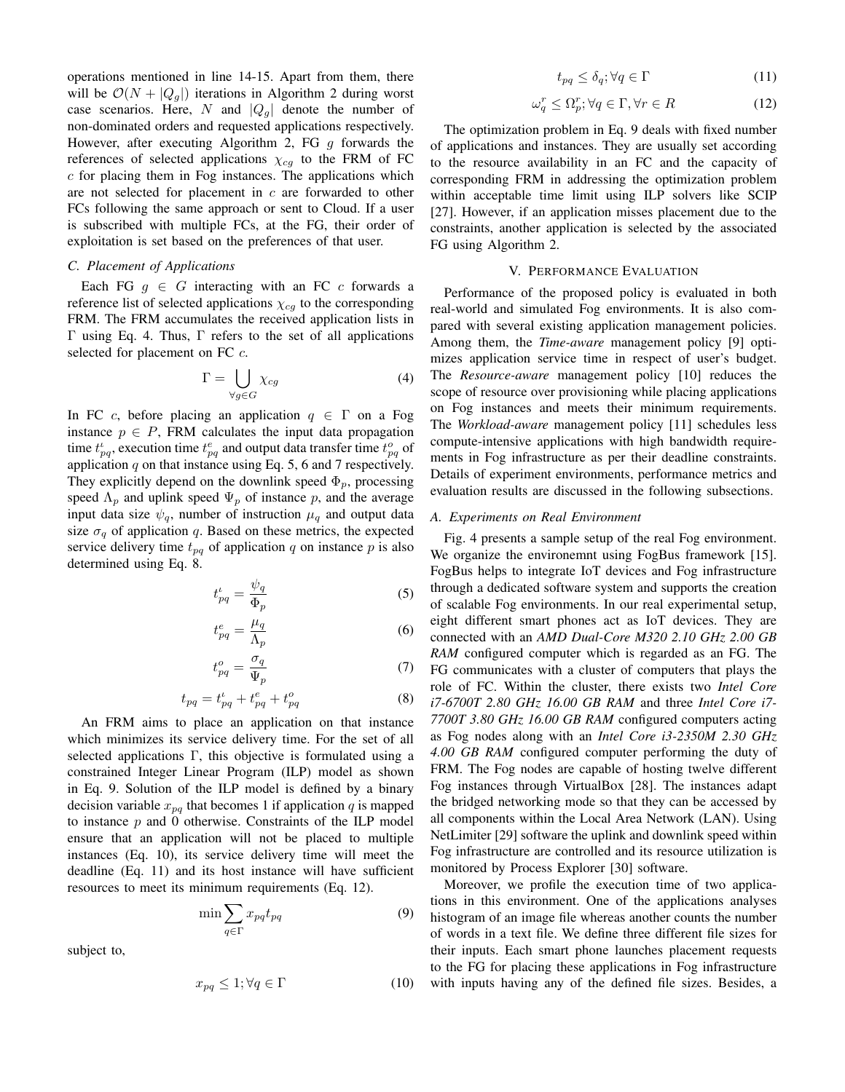operations mentioned in line 14-15. Apart from them, there will be  $\mathcal{O}(N + |Q_q|)$  iterations in Algorithm 2 during worst case scenarios. Here, N and  $|Q_q|$  denote the number of non-dominated orders and requested applications respectively. However, after executing Algorithm 2, FG  $g$  forwards the references of selected applications  $\chi_{cg}$  to the FRM of FC  $c$  for placing them in Fog instances. The applications which are not selected for placement in c are forwarded to other FCs following the same approach or sent to Cloud. If a user is subscribed with multiple FCs, at the FG, their order of exploitation is set based on the preferences of that user.

# *C. Placement of Applications*

Each FG  $g \in G$  interacting with an FC c forwards a reference list of selected applications  $\chi_{cg}$  to the corresponding FRM. The FRM accumulates the received application lists in Γ using Eq. 4. Thus, Γ refers to the set of all applications selected for placement on FC  $c$ .

$$
\Gamma = \bigcup_{\forall g \in G} \chi_{cg} \tag{4}
$$

In FC c, before placing an application  $q \in \Gamma$  on a Fog instance  $p \in P$ , FRM calculates the input data propagation time  $t_{pq}^i$ , execution time  $t_{pq}^e$  and output data transfer time  $t_{pq}^o$  of application  $q$  on that instance using Eq. 5, 6 and 7 respectively. They explicitly depend on the downlink speed  $\Phi_p$ , processing speed  $\Lambda_p$  and uplink speed  $\Psi_p$  of instance p, and the average input data size  $\psi_q$ , number of instruction  $\mu_q$  and output data size  $\sigma_q$  of application q. Based on these metrics, the expected service delivery time  $t_{pq}$  of application q on instance p is also determined using Eq. 8.

$$
t_{pq}^{\iota} = \frac{\psi_q}{\Phi_p} \tag{5}
$$

$$
t_{pq}^e = \frac{\mu_q}{\Lambda_p} \tag{6}
$$

$$
t_{pq}^o = \frac{\sigma_q}{\Psi_p} \tag{7}
$$

$$
t_{pq} = t_{pq}^{\iota} + t_{pq}^{e} + t_{pq}^{o} \tag{8}
$$

An FRM aims to place an application on that instance which minimizes its service delivery time. For the set of all selected applications Γ, this objective is formulated using a constrained Integer Linear Program (ILP) model as shown in Eq. 9. Solution of the ILP model is defined by a binary decision variable  $x_{pq}$  that becomes 1 if application q is mapped to instance  $p$  and 0 otherwise. Constraints of the ILP model ensure that an application will not be placed to multiple instances (Eq. 10), its service delivery time will meet the deadline (Eq. 11) and its host instance will have sufficient resources to meet its minimum requirements (Eq. 12).

$$
\min \sum_{q \in \Gamma} x_{pq} t_{pq} \tag{9}
$$

subject to,

$$
x_{pq} \le 1; \forall q \in \Gamma \tag{10}
$$

$$
t_{pq} \le \delta_q; \forall q \in \Gamma \tag{11}
$$

$$
\omega_q^r \le \Omega_p^r; \forall q \in \Gamma, \forall r \in R \tag{12}
$$

The optimization problem in Eq. 9 deals with fixed number of applications and instances. They are usually set according to the resource availability in an FC and the capacity of corresponding FRM in addressing the optimization problem within acceptable time limit using ILP solvers like SCIP [27]. However, if an application misses placement due to the constraints, another application is selected by the associated FG using Algorithm 2.

## V. PERFORMANCE EVALUATION

Performance of the proposed policy is evaluated in both real-world and simulated Fog environments. It is also compared with several existing application management policies. Among them, the *Time-aware* management policy [9] optimizes application service time in respect of user's budget. The *Resource-aware* management policy [10] reduces the scope of resource over provisioning while placing applications on Fog instances and meets their minimum requirements. The *Workload-aware* management policy [11] schedules less compute-intensive applications with high bandwidth requirements in Fog infrastructure as per their deadline constraints. Details of experiment environments, performance metrics and evaluation results are discussed in the following subsections.

# *A. Experiments on Real Environment*

Fig. 4 presents a sample setup of the real Fog environment. We organize the environemnt using FogBus framework [15]. FogBus helps to integrate IoT devices and Fog infrastructure through a dedicated software system and supports the creation of scalable Fog environments. In our real experimental setup, eight different smart phones act as IoT devices. They are connected with an *AMD Dual-Core M320 2.10 GHz 2.00 GB RAM* configured computer which is regarded as an FG. The FG communicates with a cluster of computers that plays the role of FC. Within the cluster, there exists two *Intel Core i7-6700T 2.80 GHz 16.00 GB RAM* and three *Intel Core i7- 7700T 3.80 GHz 16.00 GB RAM* configured computers acting as Fog nodes along with an *Intel Core i3-2350M 2.30 GHz 4.00 GB RAM* configured computer performing the duty of FRM. The Fog nodes are capable of hosting twelve different Fog instances through VirtualBox [28]. The instances adapt the bridged networking mode so that they can be accessed by all components within the Local Area Network (LAN). Using NetLimiter [29] software the uplink and downlink speed within Fog infrastructure are controlled and its resource utilization is monitored by Process Explorer [30] software.

Moreover, we profile the execution time of two applications in this environment. One of the applications analyses histogram of an image file whereas another counts the number of words in a text file. We define three different file sizes for their inputs. Each smart phone launches placement requests to the FG for placing these applications in Fog infrastructure with inputs having any of the defined file sizes. Besides, a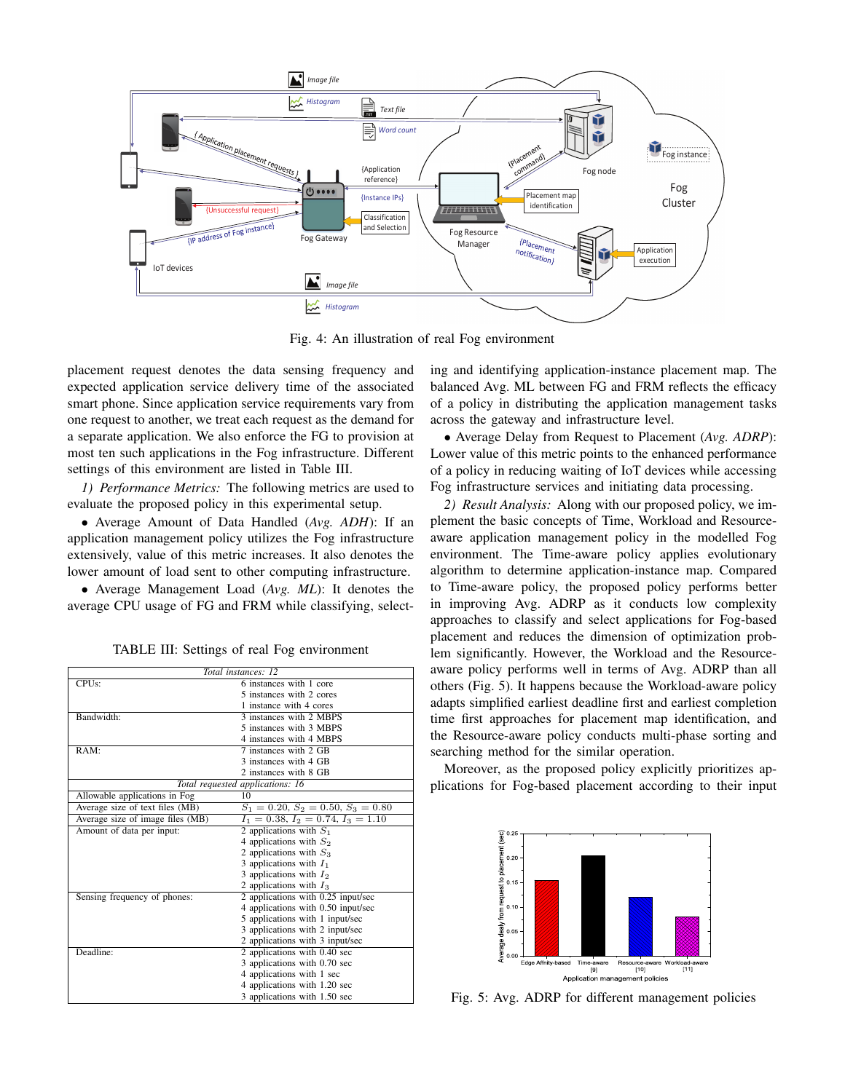

Fig. 4: An illustration of real Fog environment

placement request denotes the data sensing frequency and expected application service delivery time of the associated smart phone. Since application service requirements vary from one request to another, we treat each request as the demand for a separate application. We also enforce the FG to provision at most ten such applications in the Fog infrastructure. Different settings of this environment are listed in Table III.

*1) Performance Metrics:* The following metrics are used to evaluate the proposed policy in this experimental setup.

• Average Amount of Data Handled (*Avg. ADH*): If an application management policy utilizes the Fog infrastructure extensively, value of this metric increases. It also denotes the lower amount of load sent to other computing infrastructure.

• Average Management Load (*Avg. ML*): It denotes the average CPU usage of FG and FRM while classifying, select-

| Total instances: 12              |                                      |  |
|----------------------------------|--------------------------------------|--|
| CPUs:                            | 6 instances with 1 core              |  |
|                                  | 5 instances with 2 cores             |  |
|                                  | 1 instance with 4 cores              |  |
| Bandwidth:                       | 3 instances with 2 MBPS              |  |
|                                  | 5 instances with 3 MBPS              |  |
|                                  | 4 instances with 4 MBPS              |  |
| RAM:                             | 7 instances with 2 GB                |  |
|                                  | 3 instances with 4 GB                |  |
|                                  | 2 instances with 8 GB                |  |
|                                  | Total requested applications: 16     |  |
| Allowable applications in Fog    | 10                                   |  |
| Average size of text files (MB)  | $S_1 = 0.20, S_2 = 0.50, S_3 = 0.80$ |  |
| Average size of image files (MB) | $I_1 = 0.38, I_2 = 0.74, I_3 = 1.10$ |  |
| Amount of data per input:        | 2 applications with $S_1$            |  |
|                                  | 4 applications with $S_2$            |  |
|                                  | 2 applications with $S_3$            |  |
|                                  | 3 applications with $I_1$            |  |
|                                  | 3 applications with $I_2$            |  |
|                                  | 2 applications with $I_3$            |  |
| Sensing frequency of phones:     | 2 applications with 0.25 input/sec   |  |
|                                  | 4 applications with 0.50 input/sec   |  |
|                                  | 5 applications with 1 input/sec      |  |
|                                  | 3 applications with 2 input/sec      |  |
|                                  | 2 applications with 3 input/sec      |  |
| Deadline:                        | 2 applications with 0.40 sec         |  |
|                                  | 3 applications with 0.70 sec         |  |
|                                  | 4 applications with 1 sec            |  |
|                                  | 4 applications with 1.20 sec         |  |
|                                  | 3 applications with 1.50 sec         |  |

TABLE III: Settings of real Fog environment

ing and identifying application-instance placement map. The balanced Avg. ML between FG and FRM reflects the efficacy of a policy in distributing the application management tasks across the gateway and infrastructure level.

• Average Delay from Request to Placement (*Avg. ADRP*): Lower value of this metric points to the enhanced performance of a policy in reducing waiting of IoT devices while accessing Fog infrastructure services and initiating data processing.

*2) Result Analysis:* Along with our proposed policy, we implement the basic concepts of Time, Workload and Resourceaware application management policy in the modelled Fog environment. The Time-aware policy applies evolutionary algorithm to determine application-instance map. Compared to Time-aware policy, the proposed policy performs better in improving Avg. ADRP as it conducts low complexity approaches to classify and select applications for Fog-based placement and reduces the dimension of optimization problem significantly. However, the Workload and the Resourceaware policy performs well in terms of Avg. ADRP than all others (Fig. 5). It happens because the Workload-aware policy adapts simplified earliest deadline first and earliest completion time first approaches for placement map identification, and the Resource-aware policy conducts multi-phase sorting and searching method for the similar operation.

Moreover, as the proposed policy explicitly prioritizes applications for Fog-based placement according to their input



Fig. 5: Avg. ADRP for different management policies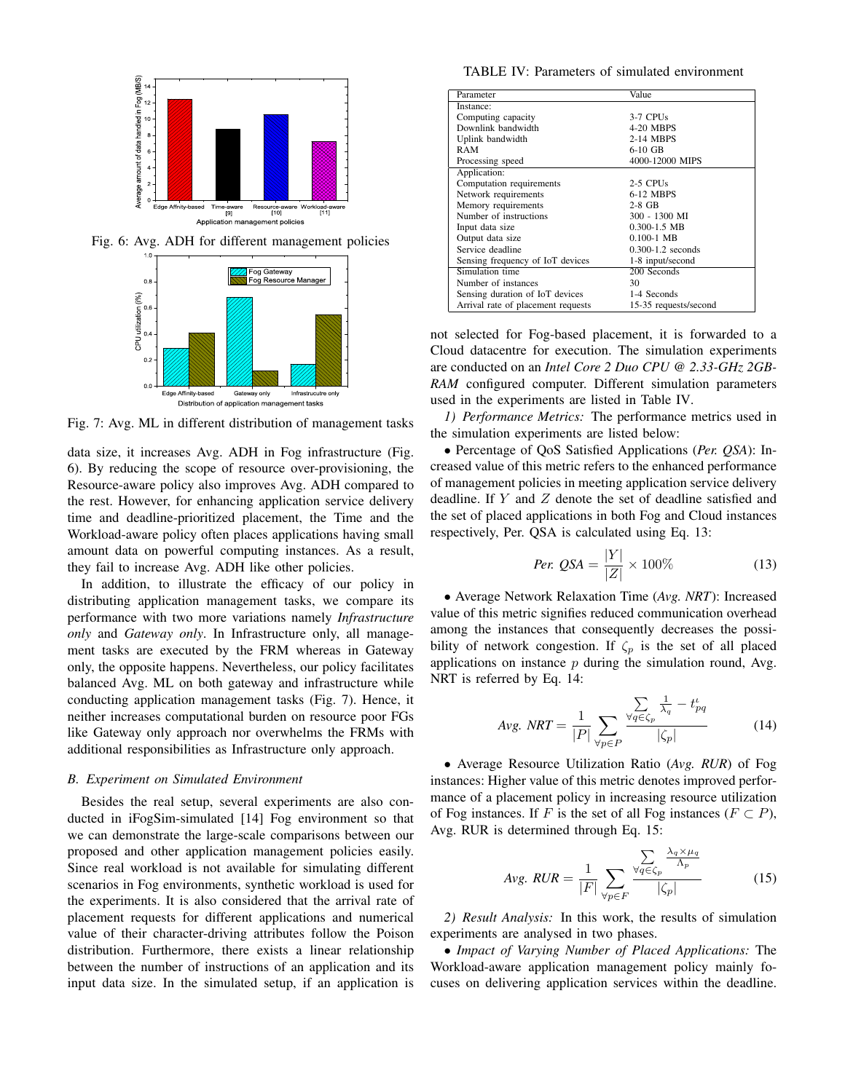

Fig. 6: Avg. ADH for different management policies



Fig. 7: Avg. ML in different distribution of management tasks

data size, it increases Avg. ADH in Fog infrastructure (Fig. 6). By reducing the scope of resource over-provisioning, the Resource-aware policy also improves Avg. ADH compared to the rest. However, for enhancing application service delivery time and deadline-prioritized placement, the Time and the Workload-aware policy often places applications having small amount data on powerful computing instances. As a result, they fail to increase Avg. ADH like other policies.

In addition, to illustrate the efficacy of our policy in distributing application management tasks, we compare its performance with two more variations namely *Infrastructure only* and *Gateway only*. In Infrastructure only, all management tasks are executed by the FRM whereas in Gateway only, the opposite happens. Nevertheless, our policy facilitates balanced Avg. ML on both gateway and infrastructure while conducting application management tasks (Fig. 7). Hence, it neither increases computational burden on resource poor FGs like Gateway only approach nor overwhelms the FRMs with additional responsibilities as Infrastructure only approach.

## *B. Experiment on Simulated Environment*

Besides the real setup, several experiments are also conducted in iFogSim-simulated [14] Fog environment so that we can demonstrate the large-scale comparisons between our proposed and other application management policies easily. Since real workload is not available for simulating different scenarios in Fog environments, synthetic workload is used for the experiments. It is also considered that the arrival rate of placement requests for different applications and numerical value of their character-driving attributes follow the Poison distribution. Furthermore, there exists a linear relationship between the number of instructions of an application and its input data size. In the simulated setup, if an application is

TABLE IV: Parameters of simulated environment

| Parameter                          | Value                 |
|------------------------------------|-----------------------|
| Instance:                          |                       |
| Computing capacity                 | $3-7$ CPUs            |
| Downlink bandwidth                 | 4-20 MBPS             |
| Uplink bandwidth                   | 2-14 MBPS             |
| RAM                                | $6-10$ GB             |
| Processing speed                   | 4000-12000 MIPS       |
| Application:                       |                       |
| Computation requirements           | 2-5 CPUs              |
| Network requirements               | 6-12 MBPS             |
| Memory requirements                | $2-8$ GB              |
| Number of instructions             | 300 - 1300 MI         |
| Input data size                    | $0.300 - 1.5$ MB      |
| Output data size                   | $0.100 - 1$ MB        |
| Service deadline                   | $0.300 - 1.2$ seconds |
| Sensing frequency of IoT devices   | 1-8 input/second      |
| Simulation time                    | 200 Seconds           |
| Number of instances                | 30                    |
| Sensing duration of IoT devices    | 1-4 Seconds           |
| Arrival rate of placement requests | 15-35 requests/second |

not selected for Fog-based placement, it is forwarded to a Cloud datacentre for execution. The simulation experiments are conducted on an *Intel Core 2 Duo CPU @ 2.33-GHz 2GB-RAM* configured computer. Different simulation parameters used in the experiments are listed in Table IV.

*1) Performance Metrics:* The performance metrics used in the simulation experiments are listed below:

• Percentage of QoS Satisfied Applications (*Per. QSA*): Increased value of this metric refers to the enhanced performance of management policies in meeting application service delivery deadline. If Y and Z denote the set of deadline satisfied and the set of placed applications in both Fog and Cloud instances respectively, Per. QSA is calculated using Eq. 13:

$$
Per. \ QSA = \frac{|Y|}{|Z|} \times 100\% \tag{13}
$$

• Average Network Relaxation Time (*Avg. NRT*): Increased value of this metric signifies reduced communication overhead among the instances that consequently decreases the possibility of network congestion. If  $\zeta_p$  is the set of all placed applications on instance  $p$  during the simulation round, Avg. NRT is referred by Eq. 14:

$$
Avg. \; NRT = \frac{1}{|P|} \sum_{\forall p \in P} \frac{\sum_{q \in \zeta_p} \frac{1}{\lambda_q} - t_{pq}^t}{|\zeta_p|} \tag{14}
$$

• Average Resource Utilization Ratio (*Avg. RUR*) of Fog instances: Higher value of this metric denotes improved performance of a placement policy in increasing resource utilization of Fog instances. If F is the set of all Fog instances ( $F \subset P$ ), Avg. RUR is determined through Eq. 15:

$$
Avg. \ RUR = \frac{1}{|F|} \sum_{\forall p \in F} \frac{\sum_{\forall q \in \zeta_p} \frac{\lambda_q \times \mu_q}{\Lambda_p}}{|\zeta_p|} \tag{15}
$$

*2) Result Analysis:* In this work, the results of simulation experiments are analysed in two phases.

• *Impact of Varying Number of Placed Applications:* The Workload-aware application management policy mainly focuses on delivering application services within the deadline.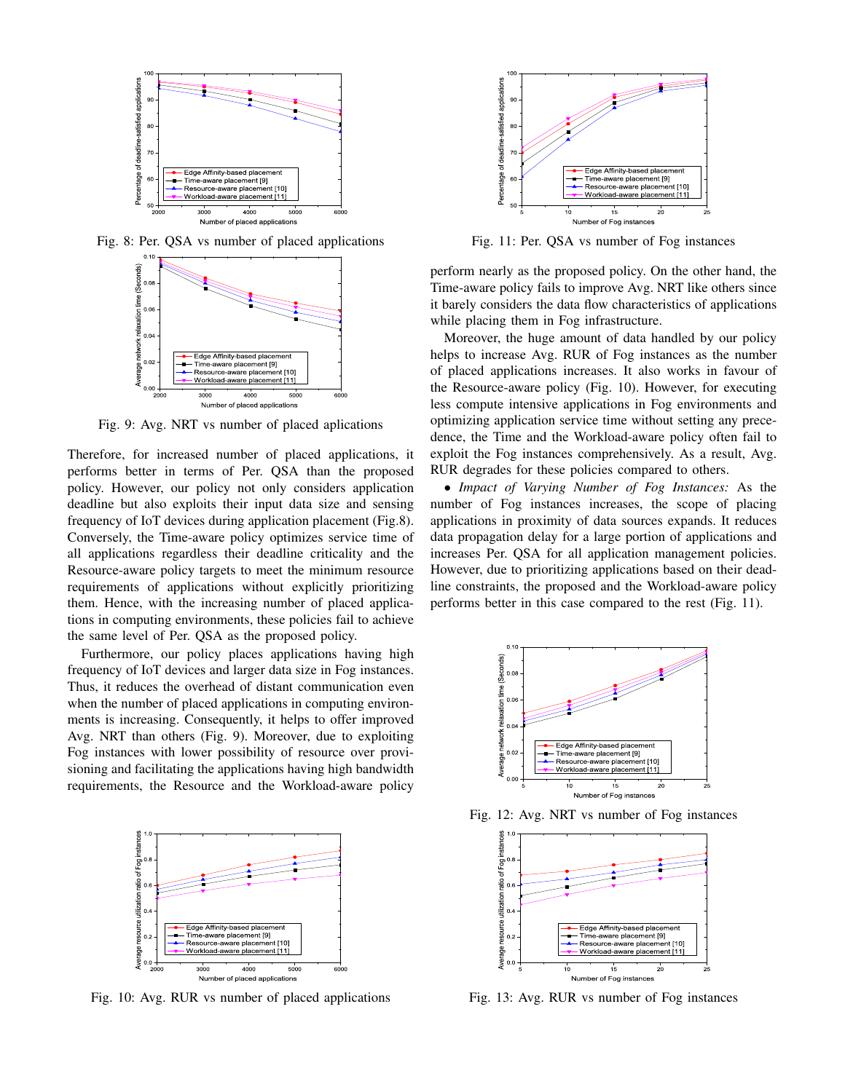

Fig. 8: Per. QSA vs number of placed applications



Fig. 9: Avg. NRT vs number of placed aplications

Therefore, for increased number of placed applications, it performs better in terms of Per. QSA than the proposed policy. However, our policy not only considers application deadline but also exploits their input data size and sensing frequency of IoT devices during application placement (Fig.8). Conversely, the Time-aware policy optimizes service time of all applications regardless their deadline criticality and the Resource-aware policy targets to meet the minimum resource requirements of applications without explicitly prioritizing them. Hence, with the increasing number of placed applications in computing environments, these policies fail to achieve the same level of Per. QSA as the proposed policy.

Furthermore, our policy places applications having high frequency of IoT devices and larger data size in Fog instances. Thus, it reduces the overhead of distant communication even when the number of placed applications in computing environments is increasing. Consequently, it helps to offer improved Avg. NRT than others (Fig. 9). Moreover, due to exploiting Fog instances with lower possibility of resource over provisioning and facilitating the applications having high bandwidth requirements, the Resource and the Workload-aware policy



Fig. 10: Avg. RUR vs number of placed applications



Fig. 11: Per. QSA vs number of Fog instances

perform nearly as the proposed policy. On the other hand, the Time-aware policy fails to improve Avg. NRT like others since it barely considers the data flow characteristics of applications while placing them in Fog infrastructure.

Moreover, the huge amount of data handled by our policy helps to increase Avg. RUR of Fog instances as the number of placed applications increases. It also works in favour of the Resource-aware policy (Fig. 10). However, for executing less compute intensive applications in Fog environments and optimizing application service time without setting any precedence, the Time and the Workload-aware policy often fail to exploit the Fog instances comprehensively. As a result, Avg. RUR degrades for these policies compared to others.

• *Impact of Varying Number of Fog Instances:* As the number of Fog instances increases, the scope of placing applications in proximity of data sources expands. It reduces data propagation delay for a large portion of applications and increases Per. QSA for all application management policies. However, due to prioritizing applications based on their deadline constraints, the proposed and the Workload-aware policy performs better in this case compared to the rest (Fig. 11).



Fig. 12: Avg. NRT vs number of Fog instances



Fig. 13: Avg. RUR vs number of Fog instances